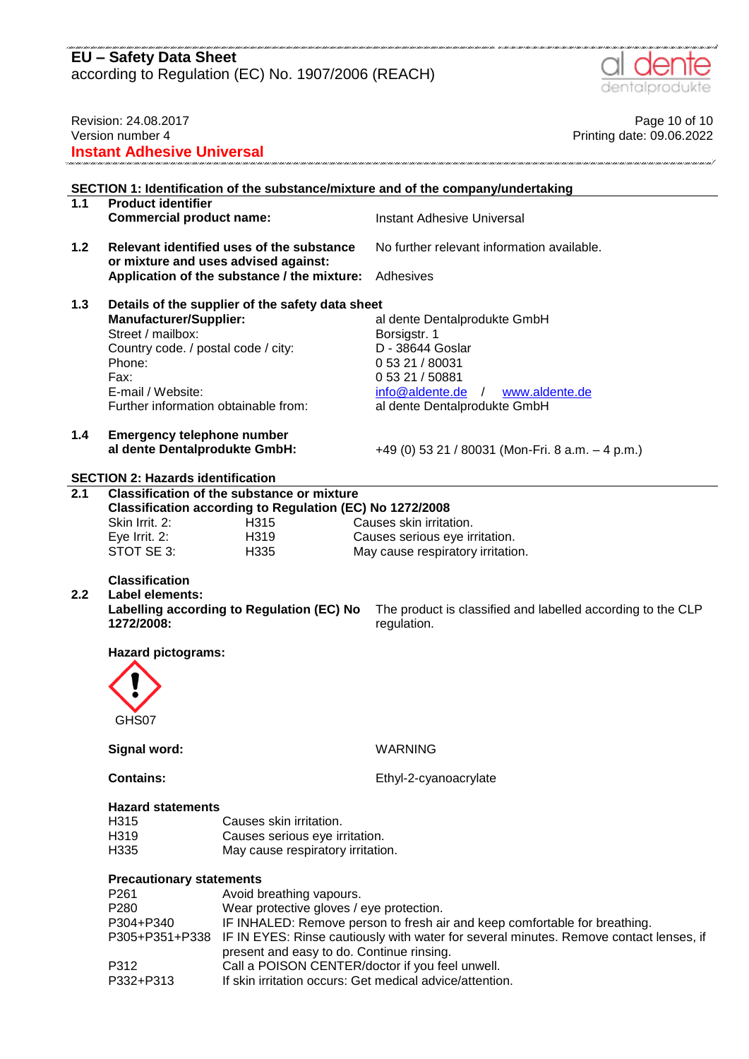according to Regulation (EC) No. 1907/2006 (REACH)



| Revision: 24.08.2017<br>Version number 4<br><b>Instant Adhesive Universal</b>     |                                                                                                                                                                          |                                                                                                                                                                      | Page 10 of 10<br>Printing date: 09.06.2022                                                                                                                                                                                       |  |  |
|-----------------------------------------------------------------------------------|--------------------------------------------------------------------------------------------------------------------------------------------------------------------------|----------------------------------------------------------------------------------------------------------------------------------------------------------------------|----------------------------------------------------------------------------------------------------------------------------------------------------------------------------------------------------------------------------------|--|--|
| SECTION 1: Identification of the substance/mixture and of the company/undertaking |                                                                                                                                                                          |                                                                                                                                                                      |                                                                                                                                                                                                                                  |  |  |
| 1.1                                                                               | <b>Product identifier</b><br><b>Commercial product name:</b>                                                                                                             |                                                                                                                                                                      | Instant Adhesive Universal                                                                                                                                                                                                       |  |  |
| 1.2                                                                               |                                                                                                                                                                          | Relevant identified uses of the substance<br>or mixture and uses advised against:                                                                                    | No further relevant information available.                                                                                                                                                                                       |  |  |
|                                                                                   |                                                                                                                                                                          | Application of the substance / the mixture:                                                                                                                          | Adhesives                                                                                                                                                                                                                        |  |  |
| 1.3                                                                               | <b>Manufacturer/Supplier:</b><br>Street / mailbox:<br>Country code. / postal code / city:<br>Phone:<br>Fax:<br>E-mail / Website:<br>Further information obtainable from: | Details of the supplier of the safety data sheet                                                                                                                     | al dente Dentalprodukte GmbH<br>Borsigstr. 1<br>D - 38644 Goslar<br>0 53 21 / 80031<br>0 53 21 / 50881<br>info@aldente.de /<br>www.aldente.de<br>al dente Dentalprodukte GmbH                                                    |  |  |
| 1.4                                                                               | <b>Emergency telephone number</b><br>al dente Dentalprodukte GmbH:                                                                                                       |                                                                                                                                                                      | +49 (0) 53 21 / 80031 (Mon-Fri. 8 a.m. $-$ 4 p.m.)                                                                                                                                                                               |  |  |
|                                                                                   | <b>SECTION 2: Hazards identification</b>                                                                                                                                 |                                                                                                                                                                      |                                                                                                                                                                                                                                  |  |  |
| $\overline{2.1}$                                                                  | Skin Irrit. 2:<br>Eye Irrit. 2:<br>STOT SE 3:                                                                                                                            | <b>Classification of the substance or mixture</b><br>Classification according to Regulation (EC) No 1272/2008<br>H315<br>H319<br>H335                                | Causes skin irritation.<br>Causes serious eye irritation.<br>May cause respiratory irritation.                                                                                                                                   |  |  |
| 2.2                                                                               | <b>Classification</b><br><b>Label elements:</b><br>1272/2008:                                                                                                            | Labelling according to Regulation (EC) No                                                                                                                            | The product is classified and labelled according to the CLP<br>regulation.                                                                                                                                                       |  |  |
|                                                                                   | <b>Hazard pictograms:</b><br>$\mathbf \Omega$<br>GHS07                                                                                                                   |                                                                                                                                                                      |                                                                                                                                                                                                                                  |  |  |
|                                                                                   | Signal word:                                                                                                                                                             |                                                                                                                                                                      | <b>WARNING</b>                                                                                                                                                                                                                   |  |  |
|                                                                                   | <b>Contains:</b>                                                                                                                                                         |                                                                                                                                                                      | Ethyl-2-cyanoacrylate                                                                                                                                                                                                            |  |  |
|                                                                                   | <b>Hazard statements</b><br>H315<br>H319<br>H335                                                                                                                         | Causes skin irritation.<br>Causes serious eye irritation.<br>May cause respiratory irritation.                                                                       |                                                                                                                                                                                                                                  |  |  |
|                                                                                   | <b>Precautionary statements</b><br>P261<br>P280<br>P304+P340<br>P305+P351+P338<br>P312<br>P332+P313                                                                      | Avoid breathing vapours.<br>Wear protective gloves / eye protection.<br>present and easy to do. Continue rinsing.<br>Call a POISON CENTER/doctor if you feel unwell. | IF INHALED: Remove person to fresh air and keep comfortable for breathing.<br>IF IN EYES: Rinse cautiously with water for several minutes. Remove contact lenses, if<br>If skin irritation occurs: Get medical advice/attention. |  |  |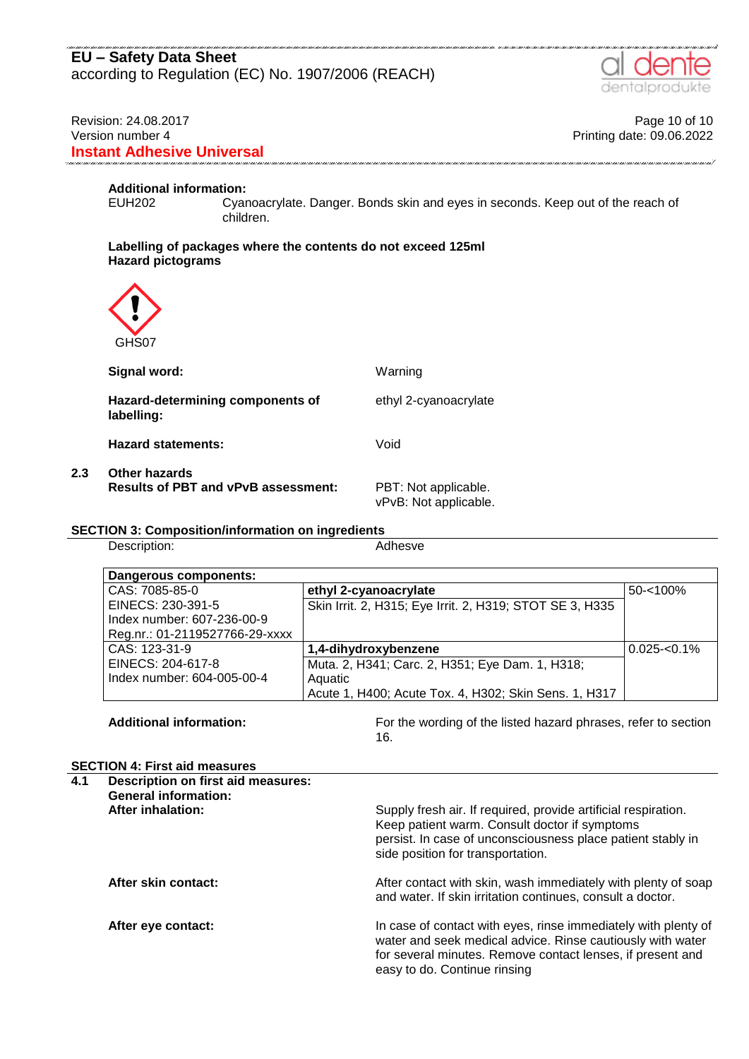### Revision: 24.08.2017 **Page 10 of 10** Version number 4 Printing date: 09.06.2022 **Instant Adhesive Universal**

# **Additional information:**

Cyanoacrylate. Danger. Bonds skin and eyes in seconds. Keep out of the reach of children.

#### **Labelling of packages where the contents do not exceed 125ml Hazard pictograms**



| Signal word:                                                | Warning                                       |
|-------------------------------------------------------------|-----------------------------------------------|
| Hazard-determining components of<br>labelling:              | ethyl 2-cyanoacrylate                         |
| <b>Hazard statements:</b>                                   | Void                                          |
| Other hazards<br><b>Results of PBT and vPvB assessment:</b> | PBT: Not applicable.<br>vPvB: Not applicable. |

#### **SECTION 3: Composition/information on ingredients**

Description: Adhesve

**2.3 Other hazards**

| Dangerous components:          |                                                          |                 |
|--------------------------------|----------------------------------------------------------|-----------------|
| CAS: 7085-85-0                 | ethyl 2-cyanoacrylate                                    | $50 - 100%$     |
| EINECS: 230-391-5              | Skin Irrit. 2, H315; Eye Irrit. 2, H319; STOT SE 3, H335 |                 |
| Index number: 607-236-00-9     |                                                          |                 |
| Reg.nr.: 01-2119527766-29-xxxx |                                                          |                 |
| CAS: 123-31-9                  | 1,4-dihydroxybenzene                                     | $0.025 - 0.1\%$ |
| EINECS: 204-617-8              | Muta. 2, H341; Carc. 2, H351; Eye Dam. 1, H318;          |                 |
| Index number: 604-005-00-4     | Aquatic                                                  |                 |
|                                | Acute 1, H400; Acute Tox. 4, H302; Skin Sens. 1, H317    |                 |

**Additional information:** For the wording of the listed hazard phrases, refer to section 16.

#### **SECTION 4: First aid measures**

| 4.1 | Description on first aid measures:<br><b>General information:</b> |                                                                                                                                                                                                                            |
|-----|-------------------------------------------------------------------|----------------------------------------------------------------------------------------------------------------------------------------------------------------------------------------------------------------------------|
|     | <b>After inhalation:</b>                                          | Supply fresh air. If required, provide artificial respiration.<br>Keep patient warm. Consult doctor if symptoms<br>persist. In case of unconsciousness place patient stably in<br>side position for transportation.        |
|     | After skin contact:                                               | After contact with skin, wash immediately with plenty of soap<br>and water. If skin irritation continues, consult a doctor.                                                                                                |
|     | After eye contact:                                                | In case of contact with eyes, rinse immediately with plenty of<br>water and seek medical advice. Rinse cautiously with water<br>for several minutes. Remove contact lenses, if present and<br>easy to do. Continue rinsing |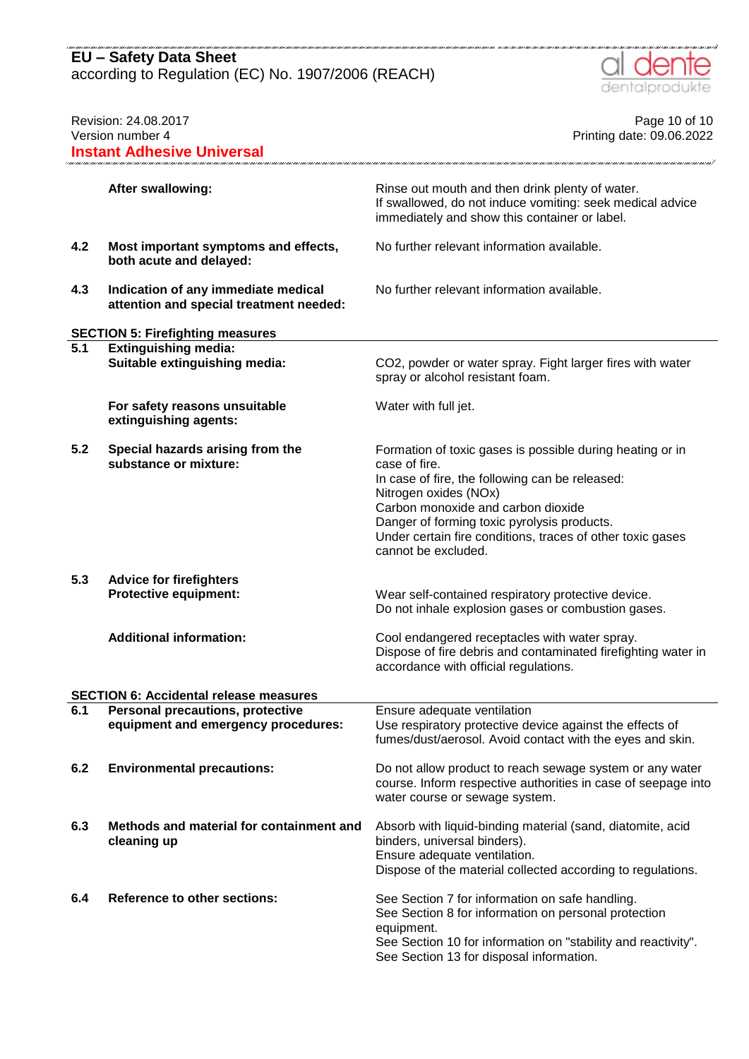according to Regulation (EC) No. 1907/2006 (REACH)



| Revision: 24.08.2017<br>Version number 4<br><b>Instant Adhesive Universal</b> |                                                                                                         | Page 10 of 10<br>Printing date: 09.06.2022                                                                                                                                                                                                                                                                                       |  |
|-------------------------------------------------------------------------------|---------------------------------------------------------------------------------------------------------|----------------------------------------------------------------------------------------------------------------------------------------------------------------------------------------------------------------------------------------------------------------------------------------------------------------------------------|--|
|                                                                               | <b>After swallowing:</b>                                                                                | Rinse out mouth and then drink plenty of water.<br>If swallowed, do not induce vomiting: seek medical advice<br>immediately and show this container or label.                                                                                                                                                                    |  |
| 4.2                                                                           | Most important symptoms and effects,<br>both acute and delayed:                                         | No further relevant information available.                                                                                                                                                                                                                                                                                       |  |
| 4.3                                                                           | Indication of any immediate medical<br>attention and special treatment needed:                          | No further relevant information available.                                                                                                                                                                                                                                                                                       |  |
|                                                                               |                                                                                                         |                                                                                                                                                                                                                                                                                                                                  |  |
| 5.1                                                                           | <b>SECTION 5: Firefighting measures</b><br><b>Extinguishing media:</b><br>Suitable extinguishing media: | CO2, powder or water spray. Fight larger fires with water<br>spray or alcohol resistant foam.                                                                                                                                                                                                                                    |  |
|                                                                               | For safety reasons unsuitable<br>extinguishing agents:                                                  | Water with full jet.                                                                                                                                                                                                                                                                                                             |  |
| 5.2                                                                           | Special hazards arising from the<br>substance or mixture:                                               | Formation of toxic gases is possible during heating or in<br>case of fire.<br>In case of fire, the following can be released:<br>Nitrogen oxides (NOx)<br>Carbon monoxide and carbon dioxide<br>Danger of forming toxic pyrolysis products.<br>Under certain fire conditions, traces of other toxic gases<br>cannot be excluded. |  |
| 5.3                                                                           | <b>Advice for firefighters</b><br><b>Protective equipment:</b>                                          | Wear self-contained respiratory protective device.<br>Do not inhale explosion gases or combustion gases.                                                                                                                                                                                                                         |  |
|                                                                               | <b>Additional information:</b>                                                                          | Cool endangered receptacles with water spray.<br>Dispose of fire debris and contaminated firefighting water in<br>accordance with official regulations.                                                                                                                                                                          |  |
|                                                                               | <b>SECTION 6: Accidental release measures</b>                                                           |                                                                                                                                                                                                                                                                                                                                  |  |
| 6.1                                                                           | Personal precautions, protective<br>equipment and emergency procedures:                                 | Ensure adequate ventilation<br>Use respiratory protective device against the effects of<br>fumes/dust/aerosol. Avoid contact with the eyes and skin.                                                                                                                                                                             |  |
| 6.2                                                                           | <b>Environmental precautions:</b>                                                                       | Do not allow product to reach sewage system or any water<br>course. Inform respective authorities in case of seepage into<br>water course or sewage system.                                                                                                                                                                      |  |
| 6.3                                                                           | Methods and material for containment and<br>cleaning up                                                 | Absorb with liquid-binding material (sand, diatomite, acid<br>binders, universal binders).<br>Ensure adequate ventilation.<br>Dispose of the material collected according to regulations.                                                                                                                                        |  |
| 6.4                                                                           | <b>Reference to other sections:</b>                                                                     | See Section 7 for information on safe handling.<br>See Section 8 for information on personal protection<br>equipment.<br>See Section 10 for information on "stability and reactivity".<br>See Section 13 for disposal information.                                                                                               |  |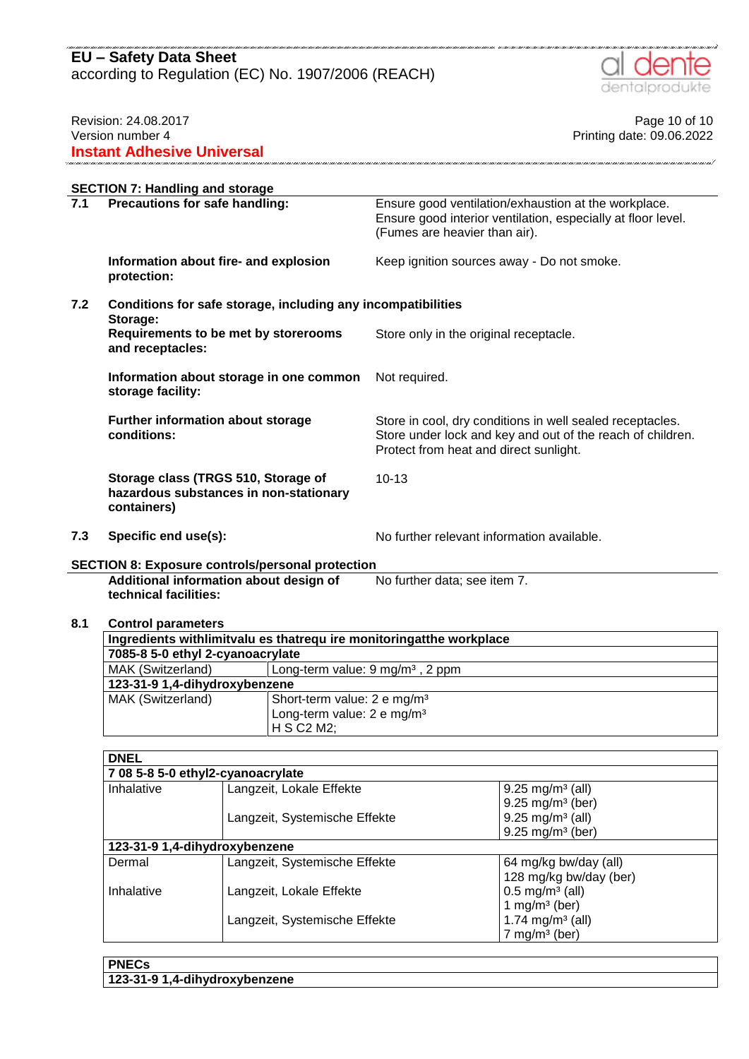according to Regulation (EC) No. 1907/2006 (REACH)



## Revision: 24.08.2017 **Page 10 of 10** Version number 4 Printing date: 09.06.2022 **Instant Adhesive Universal**

.<br>Tha a' anns a' anns a' anns a' anns a' anns a' anns a' anns a' anns a' anns a' anns a' anns a' ann a' a' an T

|     | <b>SECTION 7: Handling and storage</b>                                                       |                                                                                                                                                                   |  |  |  |
|-----|----------------------------------------------------------------------------------------------|-------------------------------------------------------------------------------------------------------------------------------------------------------------------|--|--|--|
| 7.1 | Precautions for safe handling:                                                               | Ensure good ventilation/exhaustion at the workplace.<br>Ensure good interior ventilation, especially at floor level.<br>(Fumes are heavier than air).             |  |  |  |
|     | Information about fire- and explosion<br>protection:                                         | Keep ignition sources away - Do not smoke.                                                                                                                        |  |  |  |
| 7.2 | Conditions for safe storage, including any incompatibilities<br>Storage:                     |                                                                                                                                                                   |  |  |  |
|     | Requirements to be met by storerooms<br>and receptacles:                                     | Store only in the original receptacle.                                                                                                                            |  |  |  |
|     | Information about storage in one common<br>storage facility:                                 | Not required.                                                                                                                                                     |  |  |  |
|     | Further information about storage<br>conditions:                                             | Store in cool, dry conditions in well sealed receptacles.<br>Store under lock and key and out of the reach of children.<br>Protect from heat and direct sunlight. |  |  |  |
|     | Storage class (TRGS 510, Storage of<br>hazardous substances in non-stationary<br>containers) | $10 - 13$                                                                                                                                                         |  |  |  |
| 7.3 | Specific end use(s):                                                                         | No further relevant information available.                                                                                                                        |  |  |  |

.<br>1997 - Jane Louis, Canad Louis, Louis, Louis, Louis, Louis, Louis, Louis, Louis, Louis, Louis, Louis, Louis,

# **SECTION 8: Exposure controls/personal protection**

**Additional information about design of technical facilities:** No further data; see item 7.

#### **8.1 Control parameters**

| Ingredients with limit values that require monitoring at the workplace |  |  |  |  |
|------------------------------------------------------------------------|--|--|--|--|
| 7085-8 5-0 ethyl 2-cyanoacrylate                                       |  |  |  |  |
| MAK (Switzerland)<br>Long-term value: $9 \text{ mg/m}^3$ , 2 ppm       |  |  |  |  |
| 123-31-9 1,4-dihydroxybenzene                                          |  |  |  |  |
| MAK (Switzerland)<br>Short-term value: 2 e mg/m <sup>3</sup>           |  |  |  |  |
| Long-term value: 2 e mg/m <sup>3</sup>                                 |  |  |  |  |
| H S C2 M2;                                                             |  |  |  |  |

| <b>DNEL</b> |                                   |                                |  |  |  |
|-------------|-----------------------------------|--------------------------------|--|--|--|
|             | 7 08 5-8 5-0 ethyl2-cyanoacrylate |                                |  |  |  |
| Inhalative  | Langzeit, Lokale Effekte          | $9.25 \text{ mg/m}^3$ (all)    |  |  |  |
|             |                                   | $9.25 \text{ mg/m}^3$ (ber)    |  |  |  |
|             | Langzeit, Systemische Effekte     | $9.25 \text{ mg/m}^3$ (all)    |  |  |  |
|             |                                   | $9.25 \,\mathrm{mg/m^3}$ (ber) |  |  |  |
|             | 123-31-9 1,4-dihydroxybenzene     |                                |  |  |  |
| Dermal      | Langzeit, Systemische Effekte     | 64 mg/kg bw/day (all)          |  |  |  |
|             |                                   | 128 mg/kg bw/day (ber)         |  |  |  |
| Inhalative  | Langzeit, Lokale Effekte          | $0.5 \,\mathrm{mg/m^3}$ (all)  |  |  |  |
|             |                                   | 1 mg/m <sup>3</sup> (ber)      |  |  |  |
|             | Langzeit, Systemische Effekte     | 1.74 mg/m <sup>3</sup> (all)   |  |  |  |
|             |                                   | $7$ mg/m <sup>3</sup> (ber)    |  |  |  |

| <b>PNECs</b>                  |  |
|-------------------------------|--|
| 123-31-9 1,4-dihydroxybenzene |  |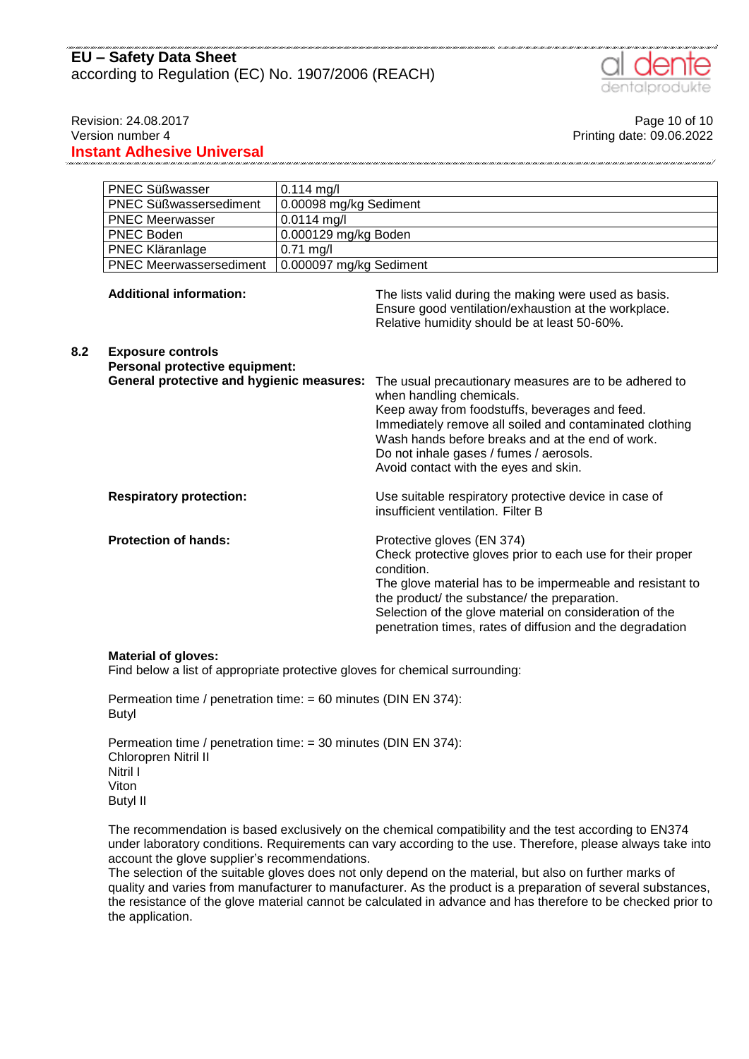

Revision: 24.08.2017 **Page 10 of 10** Version number 4 Printing date: 09.06.2022 **Instant Adhesive Universal**

|     | <b>PNEC Süßwasser</b>                                                                                                                                                                                             | $0.114$ mg/l            |                                                                                                                                                                                                                                                                                                                                             |
|-----|-------------------------------------------------------------------------------------------------------------------------------------------------------------------------------------------------------------------|-------------------------|---------------------------------------------------------------------------------------------------------------------------------------------------------------------------------------------------------------------------------------------------------------------------------------------------------------------------------------------|
|     | 0.00098 mg/kg Sediment<br><b>PNEC Süßwassersediment</b>                                                                                                                                                           |                         |                                                                                                                                                                                                                                                                                                                                             |
|     | <b>PNEC Meerwasser</b><br>$0.0114$ mg/l                                                                                                                                                                           |                         |                                                                                                                                                                                                                                                                                                                                             |
|     | <b>PNEC Boden</b>                                                                                                                                                                                                 | 0.000129 mg/kg Boden    |                                                                                                                                                                                                                                                                                                                                             |
|     | PNEC Kläranlage                                                                                                                                                                                                   | $0.71$ mg/l             |                                                                                                                                                                                                                                                                                                                                             |
|     | <b>PNEC Meerwassersediment</b>                                                                                                                                                                                    | 0.000097 mg/kg Sediment |                                                                                                                                                                                                                                                                                                                                             |
|     | <b>Additional information:</b><br><b>Exposure controls</b><br>Personal protective equipment:<br><b>General protective and hygienic measures:</b><br><b>Respiratory protection:</b><br><b>Protection of hands:</b> |                         | The lists valid during the making were used as basis.<br>Ensure good ventilation/exhaustion at the workplace.<br>Relative humidity should be at least 50-60%.                                                                                                                                                                               |
| 8.2 |                                                                                                                                                                                                                   |                         | The usual precautionary measures are to be adhered to<br>when handling chemicals.<br>Keep away from foodstuffs, beverages and feed.<br>Immediately remove all soiled and contaminated clothing<br>Wash hands before breaks and at the end of work.<br>Do not inhale gases / fumes / aerosols.<br>Avoid contact with the eyes and skin.      |
|     |                                                                                                                                                                                                                   |                         | Use suitable respiratory protective device in case of<br>insufficient ventilation. Filter B                                                                                                                                                                                                                                                 |
|     |                                                                                                                                                                                                                   |                         | Protective gloves (EN 374)<br>Check protective gloves prior to each use for their proper<br>condition.<br>The glove material has to be impermeable and resistant to<br>the product/ the substance/ the preparation.<br>Selection of the glove material on consideration of the<br>penetration times, rates of diffusion and the degradation |

#### **Material of gloves:**

Find below a list of appropriate protective gloves for chemical surrounding:

Permeation time / penetration time: = 60 minutes (DIN EN 374): Butyl

Permeation time / penetration time: = 30 minutes (DIN EN 374): Chloropren Nitril II Nitril I Viton Butyl II

The recommendation is based exclusively on the chemical compatibility and the test according to EN374 under laboratory conditions. Requirements can vary according to the use. Therefore, please always take into account the glove supplier's recommendations.

The selection of the suitable gloves does not only depend on the material, but also on further marks of quality and varies from manufacturer to manufacturer. As the product is a preparation of several substances, the resistance of the glove material cannot be calculated in advance and has therefore to be checked prior to the application.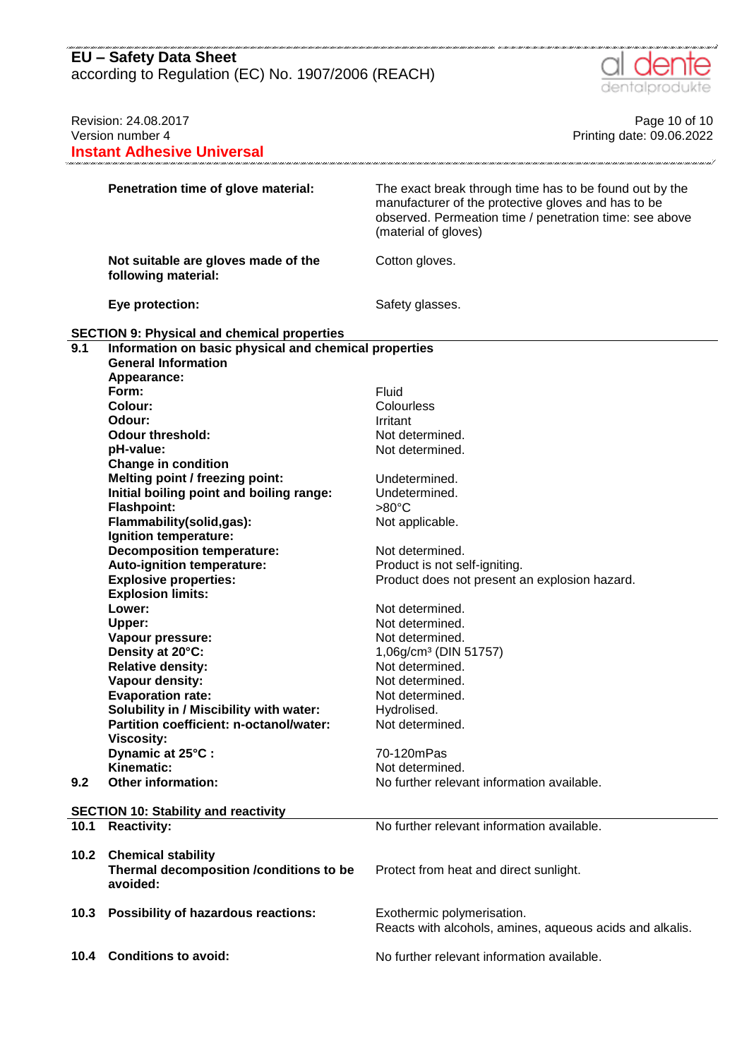according to Regulation (EC) No. 1907/2006 (REACH)



| Revision: 24.08.2017 |                                                            | Page 10 of 10                                                                                                                                                                                     |  |
|----------------------|------------------------------------------------------------|---------------------------------------------------------------------------------------------------------------------------------------------------------------------------------------------------|--|
|                      | Version number 4                                           | Printing date: 09.06.2022                                                                                                                                                                         |  |
|                      | <b>Instant Adhesive Universal</b>                          |                                                                                                                                                                                                   |  |
|                      |                                                            |                                                                                                                                                                                                   |  |
|                      | Penetration time of glove material:                        | The exact break through time has to be found out by the<br>manufacturer of the protective gloves and has to be<br>observed. Permeation time / penetration time: see above<br>(material of gloves) |  |
|                      | Not suitable are gloves made of the<br>following material: | Cotton gloves.                                                                                                                                                                                    |  |
|                      | Eye protection:                                            | Safety glasses.                                                                                                                                                                                   |  |
|                      | <b>SECTION 9: Physical and chemical properties</b>         |                                                                                                                                                                                                   |  |
| 9.1                  | Information on basic physical and chemical properties      |                                                                                                                                                                                                   |  |
|                      | <b>General Information</b>                                 |                                                                                                                                                                                                   |  |
|                      |                                                            |                                                                                                                                                                                                   |  |
|                      | Appearance:                                                |                                                                                                                                                                                                   |  |
|                      | Form:                                                      | Fluid                                                                                                                                                                                             |  |
|                      | Colour:                                                    | Colourless                                                                                                                                                                                        |  |
|                      | Odour:                                                     | Irritant                                                                                                                                                                                          |  |
|                      | <b>Odour threshold:</b>                                    | Not determined.                                                                                                                                                                                   |  |
|                      | pH-value:                                                  | Not determined.                                                                                                                                                                                   |  |
|                      | <b>Change in condition</b>                                 |                                                                                                                                                                                                   |  |
|                      | <b>Melting point / freezing point:</b>                     | Undetermined.                                                                                                                                                                                     |  |
|                      | Initial boiling point and boiling range:                   | Undetermined.                                                                                                                                                                                     |  |
|                      | <b>Flashpoint:</b>                                         | $>80^{\circ}$ C                                                                                                                                                                                   |  |
|                      | Flammability(solid,gas):                                   | Not applicable.                                                                                                                                                                                   |  |
|                      | Ignition temperature:                                      |                                                                                                                                                                                                   |  |
|                      | <b>Decomposition temperature:</b>                          | Not determined.                                                                                                                                                                                   |  |
|                      | Auto-ignition temperature:                                 | Product is not self-igniting.                                                                                                                                                                     |  |
|                      | <b>Explosive properties:</b>                               |                                                                                                                                                                                                   |  |
|                      |                                                            | Product does not present an explosion hazard.                                                                                                                                                     |  |
|                      | <b>Explosion limits:</b>                                   |                                                                                                                                                                                                   |  |
|                      | Lower:                                                     | Not determined.                                                                                                                                                                                   |  |
|                      | Upper:                                                     | Not determined.                                                                                                                                                                                   |  |
|                      | Vapour pressure:                                           | Not determined.                                                                                                                                                                                   |  |
|                      | Density at 20°C:                                           | 1,06g/cm <sup>3</sup> (DIN 51757)                                                                                                                                                                 |  |
|                      | <b>Relative density:</b>                                   | Not determined.                                                                                                                                                                                   |  |
|                      | Vapour density:                                            | Not determined.                                                                                                                                                                                   |  |
|                      | <b>Evaporation rate:</b>                                   | Not determined.                                                                                                                                                                                   |  |
|                      | Solubility in / Miscibility with water:                    | Hydrolised.                                                                                                                                                                                       |  |
|                      | Partition coefficient: n-octanol/water:                    | Not determined.                                                                                                                                                                                   |  |
|                      | <b>Viscosity:</b>                                          |                                                                                                                                                                                                   |  |
|                      | Dynamic at 25°C :                                          | 70-120mPas                                                                                                                                                                                        |  |
|                      | Kinematic:                                                 | Not determined.                                                                                                                                                                                   |  |
| 9.2                  | <b>Other information:</b>                                  | No further relevant information available.                                                                                                                                                        |  |
|                      | <b>SECTION 10: Stability and reactivity</b>                |                                                                                                                                                                                                   |  |
| 10.1                 | <b>Reactivity:</b>                                         | No further relevant information available.                                                                                                                                                        |  |
|                      |                                                            |                                                                                                                                                                                                   |  |
| 10.2                 | <b>Chemical stability</b>                                  |                                                                                                                                                                                                   |  |
|                      | Thermal decomposition /conditions to be<br>avoided:        | Protect from heat and direct sunlight.                                                                                                                                                            |  |
| 10.3                 | Possibility of hazardous reactions:                        | Exothermic polymerisation.                                                                                                                                                                        |  |
|                      |                                                            | Reacts with alcohols, amines, aqueous acids and alkalis.                                                                                                                                          |  |
|                      |                                                            |                                                                                                                                                                                                   |  |
| 10.4                 | <b>Conditions to avoid:</b>                                | No further relevant information available.                                                                                                                                                        |  |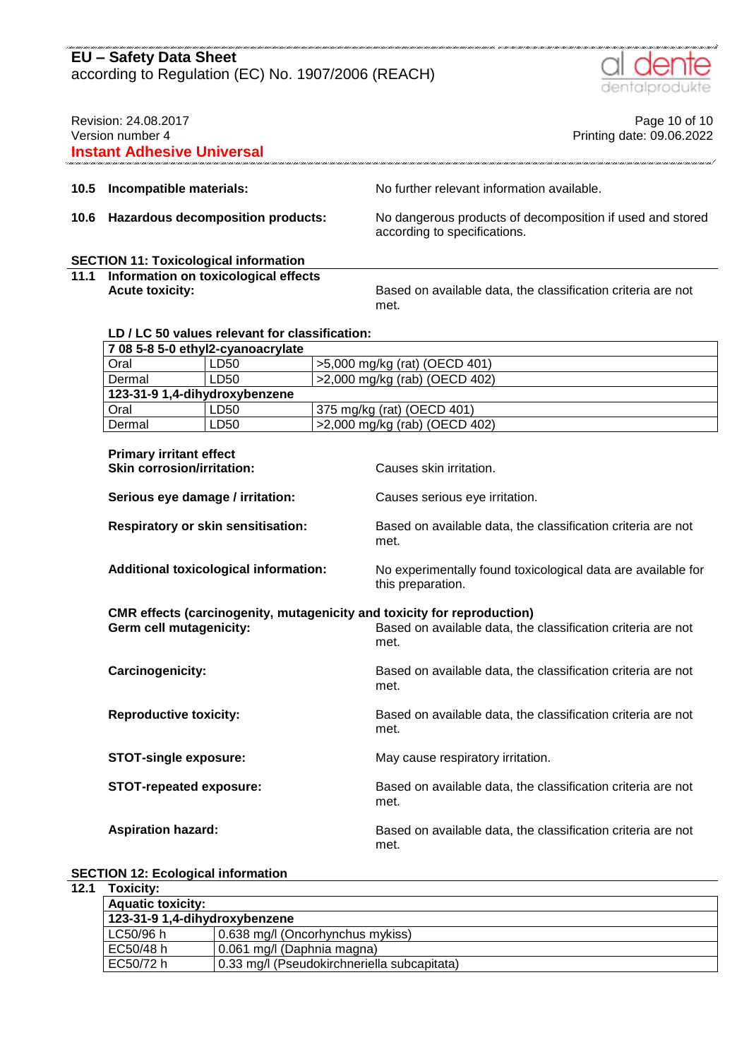al dente

|                                                                               |                                                                                                                                                      |                                                |                                                                      |                                                                                           | dentalprodukte                             |
|-------------------------------------------------------------------------------|------------------------------------------------------------------------------------------------------------------------------------------------------|------------------------------------------------|----------------------------------------------------------------------|-------------------------------------------------------------------------------------------|--------------------------------------------|
| Revision: 24.08.2017<br>Version number 4<br><b>Instant Adhesive Universal</b> |                                                                                                                                                      |                                                |                                                                      |                                                                                           | Page 10 of 10<br>Printing date: 09.06.2022 |
| 10.5                                                                          | Incompatible materials:                                                                                                                              |                                                |                                                                      | No further relevant information available.                                                |                                            |
| 10.6                                                                          |                                                                                                                                                      | <b>Hazardous decomposition products:</b>       |                                                                      | No dangerous products of decomposition if used and stored<br>according to specifications. |                                            |
|                                                                               |                                                                                                                                                      |                                                |                                                                      |                                                                                           |                                            |
| 11.1                                                                          | <b>SECTION 11: Toxicological information</b><br>Information on toxicological effects<br><b>Acute toxicity:</b>                                       |                                                | Based on available data, the classification criteria are not<br>met. |                                                                                           |                                            |
|                                                                               |                                                                                                                                                      | LD / LC 50 values relevant for classification: |                                                                      |                                                                                           |                                            |
|                                                                               |                                                                                                                                                      | 7 08 5-8 5-0 ethyl2-cyanoacrylate              |                                                                      |                                                                                           |                                            |
|                                                                               | Oral                                                                                                                                                 | LD50                                           |                                                                      | >5,000 mg/kg (rat) (OECD 401)                                                             |                                            |
|                                                                               | Dermal                                                                                                                                               | LD50                                           |                                                                      | >2,000 mg/kg (rab) (OECD 402)                                                             |                                            |
|                                                                               | 123-31-9 1,4-dihydroxybenzene                                                                                                                        |                                                |                                                                      |                                                                                           |                                            |
|                                                                               | Oral                                                                                                                                                 | LD50                                           |                                                                      | 375 mg/kg (rat) (OECD 401)                                                                |                                            |
|                                                                               | Dermal                                                                                                                                               | LD50                                           |                                                                      | >2,000 mg/kg (rab) (OECD 402)                                                             |                                            |
|                                                                               | <b>Primary irritant effect</b><br><b>Skin corrosion/irritation:</b><br>Serious eye damage / irritation:<br><b>Respiratory or skin sensitisation:</b> |                                                | Causes skin irritation.<br>Causes serious eye irritation.            |                                                                                           |                                            |
|                                                                               |                                                                                                                                                      |                                                | Based on available data, the classification criteria are not<br>met. |                                                                                           |                                            |
|                                                                               |                                                                                                                                                      | <b>Additional toxicological information:</b>   |                                                                      | No experimentally found toxicological data are available for<br>this preparation.         |                                            |
|                                                                               | CMR effects (carcinogenity, mutagenicity and toxicity for reproduction)<br><b>Germ cell mutagenicity:</b>                                            |                                                | Based on available data, the classification criteria are not<br>met. |                                                                                           |                                            |
|                                                                               | Carcinogenicity:                                                                                                                                     |                                                |                                                                      | Based on available data, the classification criteria are not<br>met.                      |                                            |
|                                                                               | <b>Reproductive toxicity:</b>                                                                                                                        |                                                |                                                                      | Based on available data, the classification criteria are not<br>met.                      |                                            |
|                                                                               | <b>STOT-single exposure:</b>                                                                                                                         |                                                |                                                                      | May cause respiratory irritation.                                                         |                                            |
|                                                                               | <b>STOT-repeated exposure:</b>                                                                                                                       |                                                |                                                                      | Based on available data, the classification criteria are not<br>met.                      |                                            |

Aspiration hazard: **Based on available data, the classification criteria are not** met.

#### **SECTION 12: Ecological information**

#### **12.1 Toxicity:**

| TOXICILY.                     |                                             |
|-------------------------------|---------------------------------------------|
| <b>Aquatic toxicity:</b>      |                                             |
| 123-31-9 1,4-dihydroxybenzene |                                             |
| LC50/96 h                     | 0.638 mg/l (Oncorhynchus mykiss)            |
| EC50/48 h                     | 0.061 mg/l (Daphnia magna)                  |
| EC50/72 h                     | 0.33 mg/l (Pseudokirchneriella subcapitata) |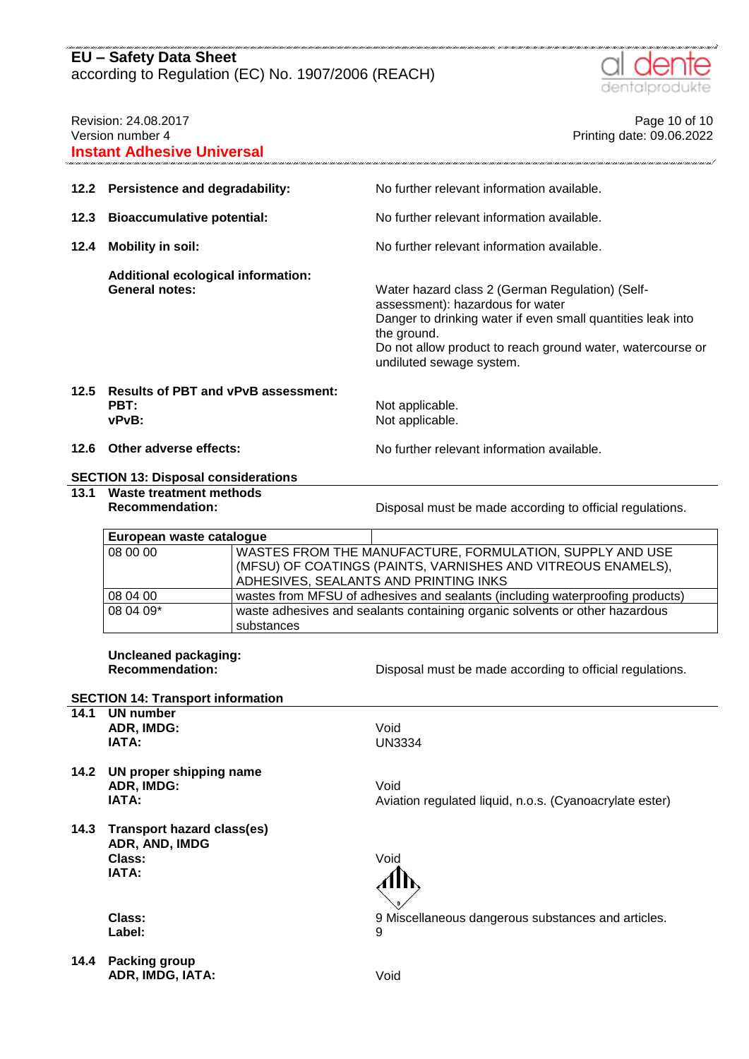

| Revision: 24.08.2017<br>Version number 4<br><b>Instant Adhesive Universal</b> |                                                                                                   |            | Page 10 of 10<br>Printing date: 09.06.2022                                                                                                                                                                                                                  |
|-------------------------------------------------------------------------------|---------------------------------------------------------------------------------------------------|------------|-------------------------------------------------------------------------------------------------------------------------------------------------------------------------------------------------------------------------------------------------------------|
| 12.2                                                                          | Persistence and degradability:                                                                    |            | No further relevant information available.                                                                                                                                                                                                                  |
| 12.3                                                                          | <b>Bioaccumulative potential:</b>                                                                 |            | No further relevant information available.                                                                                                                                                                                                                  |
| 12.4                                                                          | <b>Mobility in soil:</b>                                                                          |            | No further relevant information available.                                                                                                                                                                                                                  |
|                                                                               | <b>Additional ecological information:</b><br><b>General notes:</b>                                |            | Water hazard class 2 (German Regulation) (Self-<br>assessment): hazardous for water<br>Danger to drinking water if even small quantities leak into<br>the ground.<br>Do not allow product to reach ground water, watercourse or<br>undiluted sewage system. |
| 12.5                                                                          | <b>Results of PBT and vPvB assessment:</b><br><b>PBT:</b><br>vPvB:                                |            | Not applicable.<br>Not applicable.                                                                                                                                                                                                                          |
| 12.6                                                                          | Other adverse effects:                                                                            |            | No further relevant information available.                                                                                                                                                                                                                  |
|                                                                               | <b>SECTION 13: Disposal considerations</b>                                                        |            |                                                                                                                                                                                                                                                             |
| 13.1                                                                          | <b>Waste treatment methods</b><br><b>Recommendation:</b>                                          |            | Disposal must be made according to official regulations.                                                                                                                                                                                                    |
|                                                                               | European waste catalogue                                                                          |            |                                                                                                                                                                                                                                                             |
|                                                                               | 08 00 00                                                                                          |            | WASTES FROM THE MANUFACTURE, FORMULATION, SUPPLY AND USE<br>(MFSU) OF COATINGS (PAINTS, VARNISHES AND VITREOUS ENAMELS),<br>ADHESIVES, SEALANTS AND PRINTING INKS                                                                                           |
|                                                                               | 08 04 00                                                                                          |            | wastes from MFSU of adhesives and sealants (including waterproofing products)                                                                                                                                                                               |
|                                                                               | 08 04 09*                                                                                         | substances | waste adhesives and sealants containing organic solvents or other hazardous                                                                                                                                                                                 |
|                                                                               | <b>Uncleaned packaging:</b><br><b>Recommendation:</b><br><b>SECTION 14: Transport information</b> |            | Disposal must be made according to official regulations.                                                                                                                                                                                                    |
| 14.1                                                                          | <b>UN number</b><br>ADR, IMDG:<br>IATA:                                                           |            | Void<br><b>UN3334</b>                                                                                                                                                                                                                                       |
| 14.2                                                                          | UN proper shipping name<br>ADR, IMDG:<br>IATA:                                                    |            | Void<br>Aviation regulated liquid, n.o.s. (Cyanoacrylate ester)                                                                                                                                                                                             |
| 14.3                                                                          | <b>Transport hazard class(es)</b><br>ADR, AND, IMDG<br>Class:<br>IATA:                            |            | Void                                                                                                                                                                                                                                                        |
|                                                                               | Class:<br>Label:                                                                                  |            | 9 Miscellaneous dangerous substances and articles.<br>9                                                                                                                                                                                                     |
| 14.4                                                                          | <b>Packing group</b><br>ADR, IMDG, IATA:                                                          |            | Void                                                                                                                                                                                                                                                        |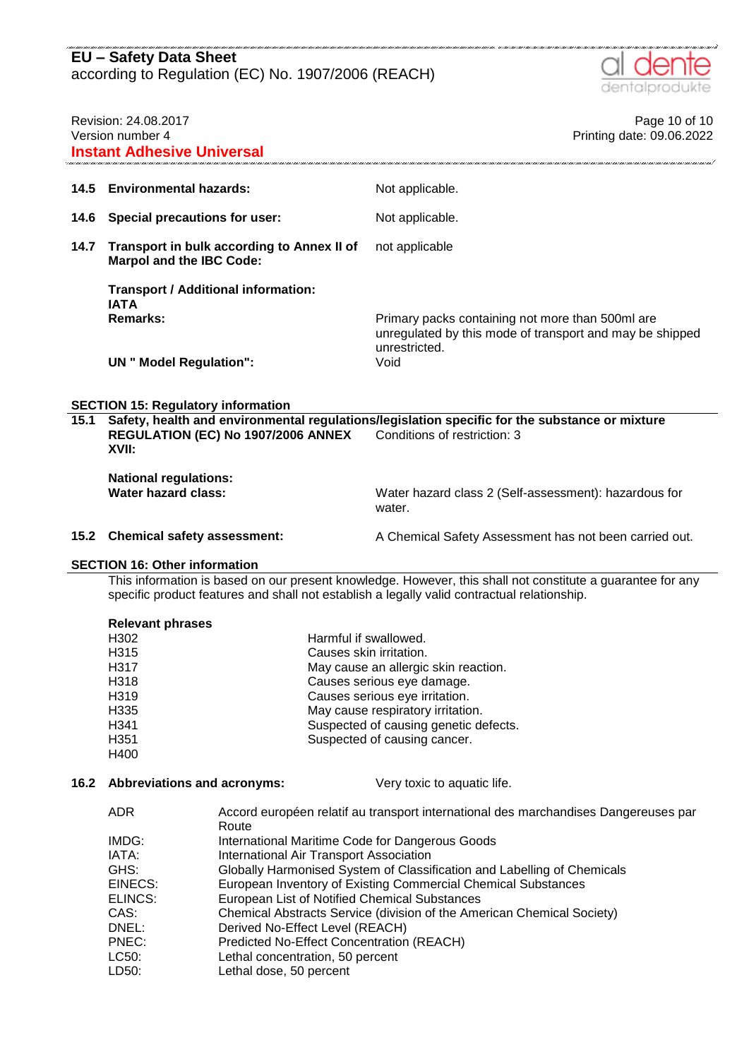

| Revision: 24.08.2017<br>Version number 4<br><b>Instant Adhesive Universal</b> |                                                                                             | Page 10 of 10<br>Printing date: 09.06.2022                                                                                     |  |
|-------------------------------------------------------------------------------|---------------------------------------------------------------------------------------------|--------------------------------------------------------------------------------------------------------------------------------|--|
|                                                                               | 14.5 Environmental hazards:                                                                 | Not applicable.                                                                                                                |  |
| 14.6                                                                          | Special precautions for user:                                                               | Not applicable.                                                                                                                |  |
| 14.7                                                                          | Transport in bulk according to Annex II of<br><b>Marpol and the IBC Code:</b>               | not applicable                                                                                                                 |  |
|                                                                               | <b>Transport / Additional information:</b><br><b>IATA</b>                                   |                                                                                                                                |  |
|                                                                               | Remarks:                                                                                    | Primary packs containing not more than 500ml are<br>unregulated by this mode of transport and may be shipped<br>unrestricted.  |  |
|                                                                               | <b>UN</b> " Model Regulation":                                                              | Void                                                                                                                           |  |
| <b>SECTION 15: Regulatory information</b>                                     |                                                                                             |                                                                                                                                |  |
| 15.1                                                                          | REGULATION (EC) No 1907/2006 ANNEX<br>XVII:                                                 | Safety, health and environmental regulations/legislation specific for the substance or mixture<br>Conditions of restriction: 3 |  |
|                                                                               | <b>National regulations:</b><br>Water hazard class:                                         | Water hazard class 2 (Self-assessment): hazardous for<br>water.                                                                |  |
| 15.2                                                                          | <b>Chemical safety assessment:</b>                                                          | A Chemical Safety Assessment has not been carried out.                                                                         |  |
| <b>SECTION 16: Other information</b>                                          |                                                                                             |                                                                                                                                |  |
|                                                                               | specific product features and shall not establish a legally valid contractual relationship. | This information is based on our present knowledge. However, this shall not constitute a guarantee for any                     |  |
|                                                                               | <b>Relevant phrases</b>                                                                     |                                                                                                                                |  |

| H302 | Harmful if swallowed.                 |
|------|---------------------------------------|
| H315 | Causes skin irritation.               |
| H317 | May cause an allergic skin reaction.  |
| H318 | Causes serious eye damage.            |
| H319 | Causes serious eye irritation.        |
| H335 | May cause respiratory irritation.     |
| H341 | Suspected of causing genetic defects. |
| H351 | Suspected of causing cancer.          |
| H400 |                                       |
|      |                                       |

# **16.2 Abbreviations and acronyms:** Very toxic to aquatic life.

| ADR     | Accord européen relatif au transport international des marchandises Dangereuses par |
|---------|-------------------------------------------------------------------------------------|
|         | Route                                                                               |
| IMDG:   | International Maritime Code for Dangerous Goods                                     |
| IATA:   | International Air Transport Association                                             |
| GHS:    | Globally Harmonised System of Classification and Labelling of Chemicals             |
| EINECS: | European Inventory of Existing Commercial Chemical Substances                       |
| ELINCS: | European List of Notified Chemical Substances                                       |
| CAS:    | Chemical Abstracts Service (division of the American Chemical Society)              |
| DNEL:   | Derived No-Effect Level (REACH)                                                     |
| PNEC:   | Predicted No-Effect Concentration (REACH)                                           |
| LC50:   | Lethal concentration, 50 percent                                                    |
| LD50:   | Lethal dose, 50 percent                                                             |
|         |                                                                                     |